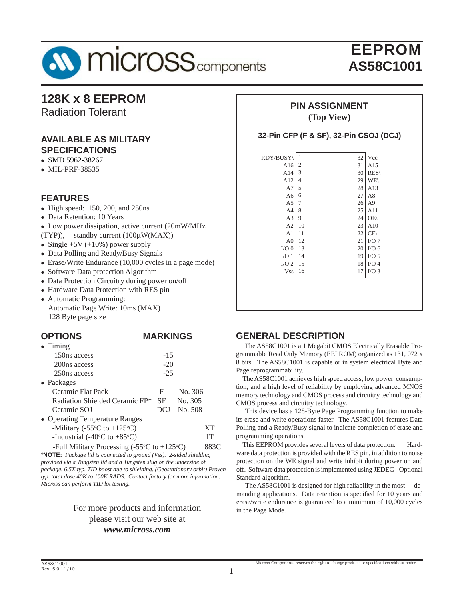

## **128K x 8 EEPROM**

Radiation Tolerant

### **AVAILABLE AS MILITARY SPECIFICATIONS**

- $\bullet$  SMD 5962-38267
- $\bullet$  MIL-PRF-38535

### **FEATURES**

- $\bullet$  High speed: 150, 200, and 250ns
- Data Retention: 10 Years
- Low power dissipation, active current (20mW/MHz)
- (TYP)), standby current (100μW(MAX))
- Single  $+5V (+10\%)$  power supply
- Data Polling and Ready/Busy Signals
- Erase/Write Endurance (10,000 cycles in a page mode)
- Software Data protection Algorithm
- Data Protection Circuitry during power on/off
- Hardware Data Protection with RES pin
- Automatic Programming: Automatic Page Write: 10ms (MAX) 128 Byte page size

#### **OPTIONS MARKINGS**  $\bullet$  Timing 150ns access -15  $200ns$  access  $-20$  250ns access -25 • Packages Ceramic Flat Pack F No. 306 Radiation Shielded Ceramic FP\* SF No. 305 Ceramic SOJ DCJ No. 508

• Operating Temperature Ranges -Military (-55 $\rm{^{\circ}C}$  to +125 $\rm{^{\circ}}$ C) XT -Industrial (-40 $\rm ^{o}C$  to +85 $\rm ^{o}$ C) IT

-Full Military Processing (-55 $\mathrm{°C}$  to +125 $\mathrm{°}$ 883C *\****NOTE:** *Package lid is connected to ground (Vss). 2-sided shielding provided via a Tungsten lid and a Tungsten slug on the underside of package. 6.5X typ. TID boost due to shielding. (Geostationary orbit) Proven typ. total dose 40K to 100K RADS. Contact factory for more information. Micross can perform TID lot testing.*

### For more products and information please visit our web site at *www.micross.com*

#### **PIN ASSIGNMENT (Top View)**

#### **32-Pin CFP (F & SF), 32-Pin CSOJ (DCJ)**

| RDY/BUSY       | 1              | 32 | Vcc            |
|----------------|----------------|----|----------------|
| A16            | $\overline{c}$ | 31 | A15            |
| A14            | 3              | 30 | RES\           |
| A12            | 4              | 29 | <b>WE</b>      |
| A7             | 5              | 28 | A13            |
| A <sub>6</sub> | 6              | 27 | A8             |
| A <sub>5</sub> | 7              | 26 | A <sub>9</sub> |
| A <sub>4</sub> | 8              | 25 | A11            |
| A3             | 9              | 24 | OE\            |
| A2             | 10             | 23 | A10            |
| A1             | 11             | 22 | CE             |
| A <sub>0</sub> | 12             | 21 | I/O7           |
| $I/O$ $0$      | 13             | 20 | $I/O$ 6        |
| I/O1           | 14             | 19 | $I/O$ 5        |
| $I/O$ 2        | 15             | 18 | $I/O$ 4        |
| <b>Vss</b>     | 16             | 17 | $I/O$ 3        |
|                |                |    |                |
|                |                |    |                |
|                |                |    |                |
|                |                |    |                |

### **GENERAL DESCRIPTION**

 The AS58C1001 is a 1 Megabit CMOS Electrically Erasable Programmable Read Only Memory (EEPROM) organized as 131, 072 x 8 bits. The AS58C1001 is capable or in system electrical Byte and Page reprogrammability.

 The AS58C1001 achieves high speed access, low power consumption, and a high level of reliability by employing advanced MNOS memory technology and CMOS process and circuitry technology and CMOS process and circuitry technology.

 This device has a 128-Byte Page Programming function to make its erase and write operations faster. The AS58C1001 features Data Polling and a Ready/Busy signal to indicate completion of erase and programming operations.

 This EEPROM provides several levels of data protection. Hardware data protection is provided with the RES pin, in addition to noise protection on the WE signal and write inhibit during power on and off. Software data protection is implemented using JEDEC Optional Standard algorithm.

The AS58C1001 is designed for high reliability in the most demanding applications. Data retention is specified for 10 years and erase/write endurance is guaranteed to a minimum of 10,000 cycles in the Page Mode.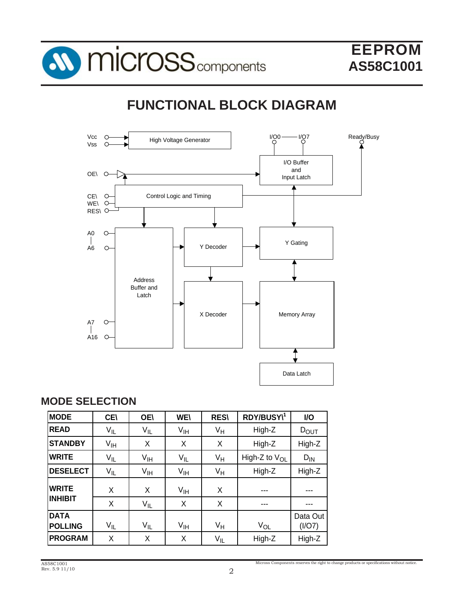

# **FUNCTIONAL BLOCK DIAGRAM**



### **MODE SELECTION**

| <b>MODE</b>                   | <b>CE\</b>        | <b>OE\</b>      | <b>WE\</b>      | <b>RES\</b> | RDY/BUSY\1         | I/O                |
|-------------------------------|-------------------|-----------------|-----------------|-------------|--------------------|--------------------|
| <b>READ</b>                   | $V_{\parallel L}$ | $V_{IL}$        | V <sub>IH</sub> | $V_H$       | High-Z             | $D_{\text{OUT}}$   |
| <b>STANDBY</b>                | $V_{\text{IH}}$   | Χ               | X               | X           | High-Z             | High-Z             |
| <b>WRITE</b>                  | $V_{\parallel L}$ | $V_{\text{IH}}$ | $V_{IL}$        | $V_H$       | High-Z to $V_{OL}$ | $D_{IN}$           |
| <b>DESELECT</b>               | $V_{IL}$          | $V_{\text{IH}}$ | $V_{\text{IH}}$ | $V_H$       | High-Z             | High-Z             |
| <b>WRITE</b>                  | X                 | X               | V <sub>IH</sub> | Χ           | ---                |                    |
| <b>INHIBIT</b>                | X                 | $V_{IL}$        | X               | X           | ---                |                    |
| <b>DATA</b><br><b>POLLING</b> | $V_{IL}$          | $V_{IL}$        | $V_{\text{IH}}$ | $V_H$       | $V_{OL}$           | Data Out<br>(I/O7) |
| <b>PROGRAM</b>                | X                 | Χ               | Χ               | $V_{IL}$    | High-Z             | High-Z             |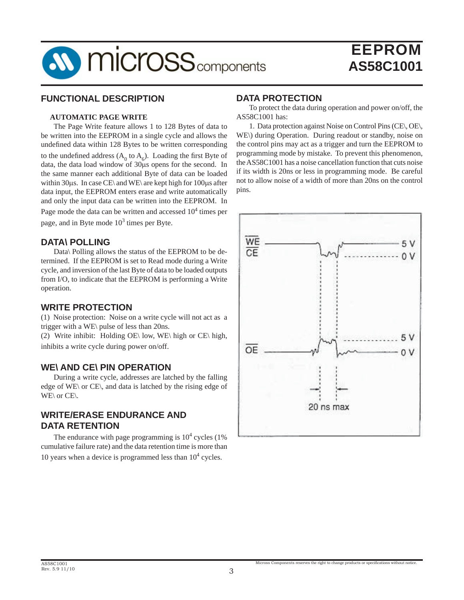

### **FUNCTIONAL DESCRIPTION**

#### **AUTOMATIC PAGE WRITE**

The Page Write feature allows 1 to 128 Bytes of data to be written into the EEPROM in a single cycle and allows the undefined data within 128 Bytes to be written corresponding to the undefined address  $(A_0 \text{ to } A_6)$ . Loading the first Byte of data, the data load window of 30μs opens for the second. In the same manner each additional Byte of data can be loaded within 30μs. In case CE\ and WE\ are kept high for 100μs after data input, the EEPROM enters erase and write automatically and only the input data can be written into the EEPROM. In Page mode the data can be written and accessed  $10^4$  times per page, and in Byte mode  $10^3$  times per Byte.

#### **DATA\ POLLING**

 Data\ Polling allows the status of the EEPROM to be determined. If the EEPROM is set to Read mode during a Write cycle, and inversion of the last Byte of data to be loaded outputs from I/O, to indicate that the EEPROM is performing a Write operation.

#### **WRITE PROTECTION**

(1) Noise protection: Noise on a write cycle will not act as a trigger with a WE\ pulse of less than 20ns.

(2) Write inhibit: Holding OE\ low, WE\ high or CE\ high, inhibits a write cycle during power on/off.

#### **WE\ AND CE\ PIN OPERATION**

 During a write cycle, addresses are latched by the falling edge of WE\ or CE\, and data is latched by the rising edge of WE\ or CE\.

#### **WRITE/ERASE ENDURANCE AND DATA RETENTION**

The endurance with page programming is  $10<sup>4</sup>$  cycles (1%) cumulative failure rate) and the data retention time is more than 10 years when a device is programmed less than  $10<sup>4</sup>$  cycles.

### **DATA PROTECTION**

 To protect the data during operation and power on/off, the AS58C1001 has:

 1. Data protection against Noise on Control Pins (CE\, OE\, WE\) during Operation. During readout or standby, noise on the control pins may act as a trigger and turn the EEPROM to programming mode by mistake. To prevent this phenomenon, the AS58C1001 has a noise cancellation function that cuts noise if its width is 20ns or less in programming mode. Be careful not to allow noise of a width of more than 20ns on the control pins.

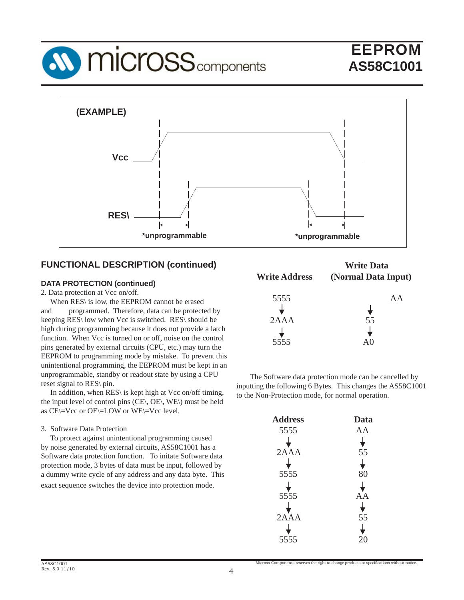



### **FUNCTIONAL DESCRIPTION (continued)**

#### **DATA PROTECTION (continued)**

2. Data protection at Vcc on/off.

 When RES\ is low, the EEPROM cannot be erased and programmed. Therefore, data can be protected by keeping RES\ low when Vcc is switched. RES\ should be high during programming because it does not provide a latch function. When Vcc is turned on or off, noise on the control pins generated by external circuits (CPU, etc.) may turn the EEPROM to programming mode by mistake. To prevent this unintentional programming, the EEPROM must be kept in an unprogrammable, standby or readout state by using a CPU reset signal to RES\ pin.

In addition, when RES\ is kept high at Vcc on/off timing, the input level of control pins (CE\, OE\, WE\) must be held as CE\=Vcc or OE\=LOW or WE\=Vcc level.

#### 3. Software Data Protection

 To protect against unintentional programming caused by noise generated by external circuits, AS58C1001 has a Software data protection function. To initate Software data protection mode, 3 bytes of data must be input, followed by a dummy write cycle of any address and any data byte. This exact sequence switches the device into protection mode.

| <b>Write Address</b> | <b>Write Data</b><br>(Normal Data Input) |
|----------------------|------------------------------------------|
| 5555                 | A A                                      |
| 2AAA                 | 55                                       |
| 5555                 |                                          |

 The Software data protection mode can be cancelled by inputting the following 6 Bytes. This changes the AS58C1001 to the Non-Protection mode, for normal operation.

| <b>Address</b> | Data |
|----------------|------|
| 5555           | AA   |
|                |      |
| 2AAA           | 55   |
|                |      |
| 5555           | 80   |
|                |      |
| 5555           | Α    |
|                |      |
| 2AAA           | 55   |
|                |      |
| 5555           |      |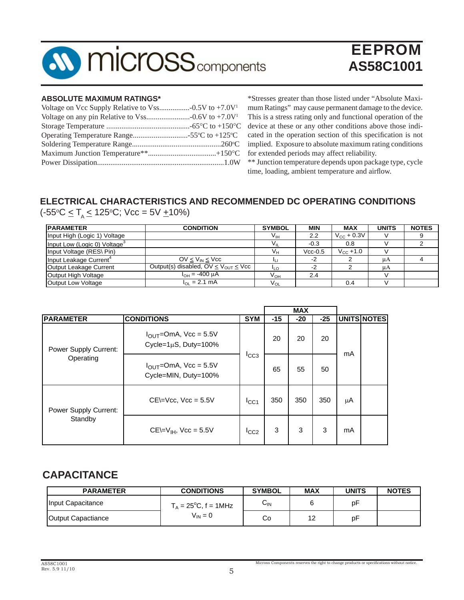

#### **ABSOLUTE MAXIMUM RATINGS\***

\*Stresses greater than those listed under "Absolute Maximum Ratings" may cause permanent damage to the device. This is a stress rating only and functional operation of the device at these or any other conditions above those indicated in the operation section of this specification is not implied. Exposure to absolute maximum rating conditions for extended periods may affect reliability.

\*\* Junction temperature depends upon package type, cycle time, loading, ambient temperature and airflow.

### **ELECTRICAL CHARACTERISTICS AND RECOMMENDED DC OPERATING CONDITIONS**

(-55°C ≤ T<sub>A</sub> ≤ 125°C; Vcc = 5V <u>+</u>10%)

| <b>PARAMETER</b>                         | <b>CONDITION</b>                            | <b>SYMBOL</b>   | <b>MIN</b> | <b>MAX</b>             | <b>UNITS</b> | <b>NOTES</b> |
|------------------------------------------|---------------------------------------------|-----------------|------------|------------------------|--------------|--------------|
| Input High (Logic 1) Voltage             |                                             | Vıн             | 2.2        | $V_{\text{CC}}$ + 0.3V |              |              |
| Input Low (Logic 0) Voltage <sup>3</sup> |                                             | V <sub>IL</sub> | $-0.3$     | 0.8                    |              |              |
| Input Voltage (RES\ Pin)                 |                                             | $V_{H}$         | $Vcc-0.5$  | $V_{\text{CC}} + 1.0$  |              |              |
| Input Leakage Current <sup>4</sup>       | $OV < V_{IN} < V_{CC}$                      | ш               | -2         |                        | μA           |              |
| Output Leakage Current                   | Output(s) disabled, $OV < V_{OUT} < V_{CC}$ | ILO             | $-2$       |                        | μA           |              |
| Output High Voltage                      | $I_{OH} = -400 \mu A$                       | V <sub>он</sub> | 2.4        |                        |              |              |
| Output Low Voltage                       | $I_{\Omega}$ = 2.1 mA                       | $V_{OL}$        |            | 0.4                    |              |              |

|                                    |                                                                     |            |       | <b>MAX</b> |       |    |                    |
|------------------------------------|---------------------------------------------------------------------|------------|-------|------------|-------|----|--------------------|
| <b>PARAMETER</b>                   | <b>CONDITIONS</b>                                                   | <b>SYM</b> | $-15$ | $-20$      | $-25$ |    | <b>UNITS NOTES</b> |
| Power Supply Current:<br>Operating | $I_{\text{OUT}}$ =OmA, Vcc = 5.5V<br>Cycle= $1\mu$ S, Duty= $100\%$ |            | 20    | 20         | 20    | mA |                    |
|                                    | $I_{\text{OUT}}$ =OmA, Vcc = 5.5V<br>Cycle=MIN, Duty=100%           | $I_{CC3}$  | 65    | 55         | 50    |    |                    |
| Power Supply Current:<br>Standby   | $CE=Vec$ , $Vec = 5.5V$                                             | ICC1       | 350   | 350        | 350   | μA |                    |
|                                    | $CE=V_{IH}$ , Vcc = 5.5V                                            | ICC2       | 3     | 3          | 3     | mA |                    |

## **CAPACITANCE**

| <b>PARAMETER</b>   | <b>CONDITIONS</b>              | <b>SYMBOL</b> | <b>MAX</b> | <b>UNITS</b> | <b>NOTES</b> |
|--------------------|--------------------------------|---------------|------------|--------------|--------------|
| Input Capacitance  | $T_A = 25^{\circ}C$ , f = 1MHz | $\sim$<br>ᅛ៲៷ |            | рF           |              |
| Output Capactiance | $V_{IN} = 0$                   | Co            | $\sim$     | pF           |              |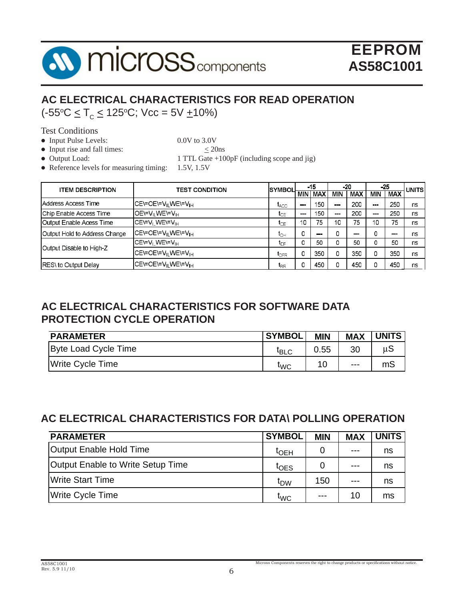

## **AC ELECTRICAL CHARACTERISTICS FOR READ OPERATION** (-55o C < TC < 125o C; Vcc = 5V +10%)

Test Conditions

• Input Pulse Levels: 0.0V to 3.0V

- Input rise and fall times:  $\leq$  20ns
- 

• Output Load: 1 TTL Gate +100pF (including scope and jig)

• Reference levels for measuring timing:  $1.5V$ ,  $1.5V$ 

| <b>ITEM DESCRIPTION</b>       | <b>TEST CONDITION</b>                       | ISYMBOL          |            | $-15$      |     | -25<br>-20   |            |            | <b>UNITS</b> |
|-------------------------------|---------------------------------------------|------------------|------------|------------|-----|--------------|------------|------------|--------------|
|                               |                                             |                  | <b>MIN</b> | <b>MAX</b> | MIN | <b>MAX</b>   | <b>MIN</b> | <b>MAX</b> |              |
| Address Access Time           | CE\=OE\=V∥ WE\=V <sub>IH</sub>              | $I_{\text{ACC}}$ | man a      | 150        | --  | 200          | ---        | 250        | ns           |
| Chip Enable Access Time       | OE\=V <sub>II</sub> WE\=V <sub>IH</sub>     | দে               |            | 150        |     | 200          |            | 250        | ns           |
| Output Enable Acess Time      | $CE=V_{\parallel} WE=V_{\parallel}$         | t⊙F              | 10         | 75         | 10  | 75           | 10         | 75         | ns           |
| Output Hold to Address Change | CE\=OE\=V <sub>II</sub> WE\=V <sub>IH</sub> | ιсн              |            | --         | 0   | <b>COLOR</b> | 0          |            | ns           |
|                               | CE\=V <sub>I</sub> WE\=V <sub>IH</sub>      | tn⊧              |            | 50         | 0   | 50           |            | 50         | ns           |
| Output Disable to High-Z      | CE\=OE\=V <sub>II</sub> WE\=V <sub>IH</sub> | $V_{\text{DFR}}$ |            | 350        | 0   | 350          |            | 350        | ns           |
| <b>RES\</b> to Output Delay   | CE∖=OE∖=V∥ WE∖=V <sub>H</sub>               | IRR              |            | 450        | 0   | 450          |            | 450        | ns           |

## **AC ELECTRICAL CHARACTERISTICS FOR SOFTWARE DATA PROTECTION CYCLE OPERATION**

| <b>PARAMETER</b>     | <b>SYMBOL</b>    | <b>MIN</b> | <b>MAX</b> | <b>UNITS</b> |
|----------------------|------------------|------------|------------|--------------|
| Byte Load Cycle Time | $I_{\text{BLC}}$ | 0.55       | 30         | uS           |
| Write Cycle Time     | <b>WC</b>        |            | $- - -$    | mS           |

## **AC ELECTRICAL CHARACTERISTICS FOR DATA\ POLLING OPERATION**

| <b>PARAMETER</b>                  | <b>SYMBOL</b>            | <b>MIN</b> | <b>MAX</b> | <b>UNITS</b> |
|-----------------------------------|--------------------------|------------|------------|--------------|
| Output Enable Hold Time           | $\mathfrak{r}_{\sf OEH}$ |            | ---        | ns           |
| Output Enable to Write Setup Time | $I_{\text{OES}}$         |            | $- - -$    | ns           |
| <b>Write Start Time</b>           | ≀Dw                      | 150        | $- - -$    | ns           |
| <b>Write Cycle Time</b>           | <b>TWC</b>               | $- - -$    | 10         | ms           |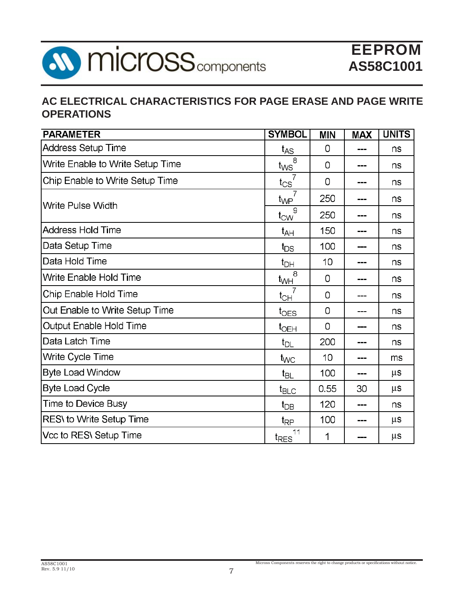

## **AC ELECTRICAL CHARACTERISTICS FOR PAGE ERASE AND PAGE WRITE OPERATIONS**

| <b>PARAMETER</b>                        | <b>SYMBOL</b>              | <b>MIN</b> | <b>MAX</b> | <b>UNITS</b> |
|-----------------------------------------|----------------------------|------------|------------|--------------|
| <b>Address Setup Time</b>               | $t_{AS}$                   | 0          |            | ns           |
| <b>Write Enable to Write Setup Time</b> | 8<br>$t_{\text{WS}}$       | 0          | ---        | ns           |
| <b>Chip Enable to Write Setup Time</b>  | $\overline{7}$<br>$t_{CS}$ | 0          |            | ns           |
| <b>Write Pulse Width</b>                | $t_{\mathsf{WP}}$          | 250        |            | ns           |
|                                         | 9<br>$t_{\text{CW}}$       | 250        |            | ns           |
| <b>Address Hold Time</b>                | $t_{AH}$                   | 150        | ---        | ns           |
| Data Setup Time                         | $t_{DS}$                   | 100        |            | ns           |
| Data Hold Time                          | $t_{DH}$                   | 10         |            | ns           |
| Write Enable Hold Time                  | $\overline{8}$<br>$t_{WH}$ | 0          |            | ns           |
| <b>Chip Enable Hold Time</b>            | $t_{CH}$                   | 0          |            | ns           |
| Out Enable to Write Setup Time          | $t_{\text{OES}}$           | 0          |            | ns           |
| <b>Output Enable Hold Time</b>          | $t_{\text{OEH}}$           | 0          |            | ns           |
| Data Latch Time                         | $t_{DL}$                   | 200        |            | ns           |
| Write Cycle Time                        | $t_{\text{WC}}$            | 10         |            | ms           |
| <b>Byte Load Window</b>                 | $t_{\text{BL}}$            | 100        |            | $\mu$ s      |
| <b>Byte Load Cycle</b>                  | $t_{\text{BLC}}$           | 0.55       | 30         | $\mu$ s      |
| <b>Time to Device Busy</b>              | $t_{DB}$                   | 120        | ----       | ns           |
| <b>RES\</b> to Write Setup Time         | $t_{\mathsf{RP}}$          | 100        |            | $\mu$ s      |
| Vcc to RES\ Setup Time                  | 11<br>t <sub>RES</sub>     | 1          |            | $\mu$ s      |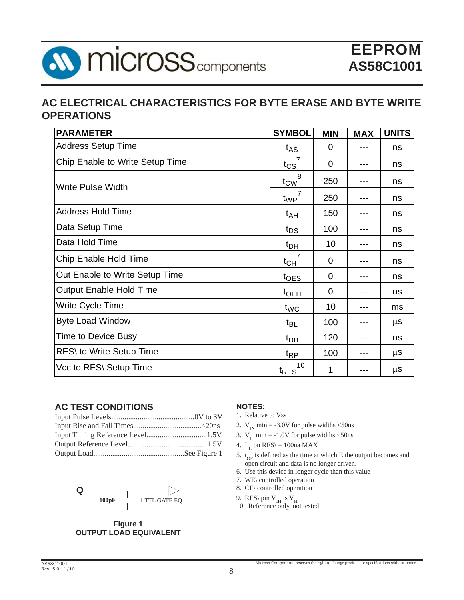

### **AC ELECTRICAL CHARACTERISTICS FOR BYTE ERASE AND BYTE WRITE OPERATIONS**

| <b>PARAMETER</b>                | <b>SYMBOL</b>          | <b>MIN</b>     | <b>MAX</b> | <b>UNITS</b> |
|---------------------------------|------------------------|----------------|------------|--------------|
| <b>Address Setup Time</b>       | $t_{AS}$               | $\overline{0}$ | ---        | ns           |
| Chip Enable to Write Setup Time | $t_{\text{CS}}$        | $\overline{0}$ |            | ns           |
| Write Pulse Width               | -8<br>$t_{\text{CW}}$  | 250            | ---        | ns           |
|                                 | $t_{WP}$               | 250            |            | ns           |
| <b>Address Hold Time</b>        | t <sub>AH</sub>        | 150            |            | ns           |
| Data Setup Time                 | $t_{DS}$               | 100            | ---        | ns           |
| Data Hold Time                  | $t_{DH}$               | 10             |            | ns           |
| Chip Enable Hold Time           | $t_{CH}$               | 0              | ---        | ns           |
| Out Enable to Write Setup Time  | $t_{\text{OES}}$       | $\overline{0}$ |            | ns           |
| <b>Output Enable Hold Time</b>  | t <sub>OEH</sub>       | 0              |            | ns           |
| Write Cycle Time                | $t_{WC}$               | 10             | ---        | ms           |
| <b>Byte Load Window</b>         | $t_{BL}$               | 100            |            | $\mu$ S      |
| <b>Time to Device Busy</b>      | $t_{DB}$               | 120            | ---        | ns           |
| RES\ to Write Setup Time        | $t_{RP}$               | 100            |            | $\mu$ S      |
| Vcc to RES\ Setup Time          | 10<br>t <sub>RES</sub> | 1              |            | μS           |

#### **AC TEST CONDITIONS**



**Figure 1 OUTPUT LOAD EQUIVALENT**

#### **NOTES:**

- 1. Relative to Vss
- 2.  $V_{IN}$  min = -3.0V for pulse widths  $\leq$ 50ns
- 3.  $V_{II}$  min = -1.0V for pulse widths  $\leq$ 50ns
- 4. I<sub>IL</sub> on RES\ = 100ua MAX
- 5.  $t_{OF}$  is defined as the time at which E the output becomes and open circuit and data is no longer driven.
- 6. Use this device in longer cycle than this value
- 7. WE\ controlled operation
- 8. CE\ controlled operation
- 9. RES\ pin  $V_H$  is  $V_H$
- 10. Reference only, not tested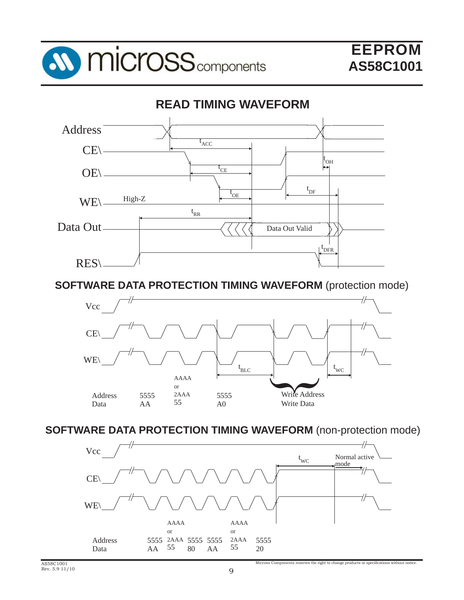



**SOFTWARE DATA PROTECTION TIMING WAVEFORM** (protection mode)



**SOFTWARE DATA PROTECTION TIMING WAVEFORM** (non-protection mode)

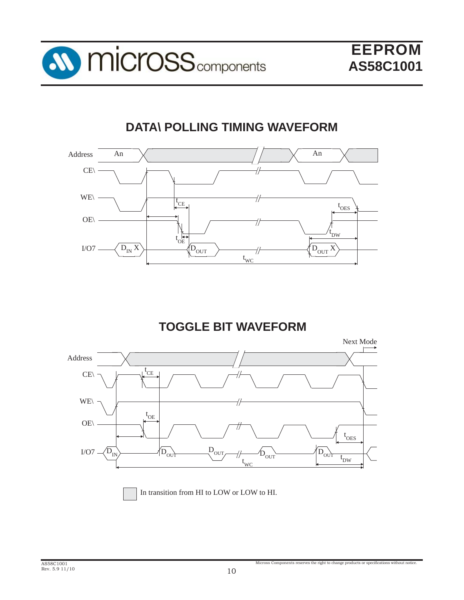

# **DATA\ POLLING TIMING WAVEFORM**



## **TOGGLE BIT WAVEFORM**



In transition from HI to LOW or LOW to HI.

Micross Components reserves the right to change products or specifications without notice.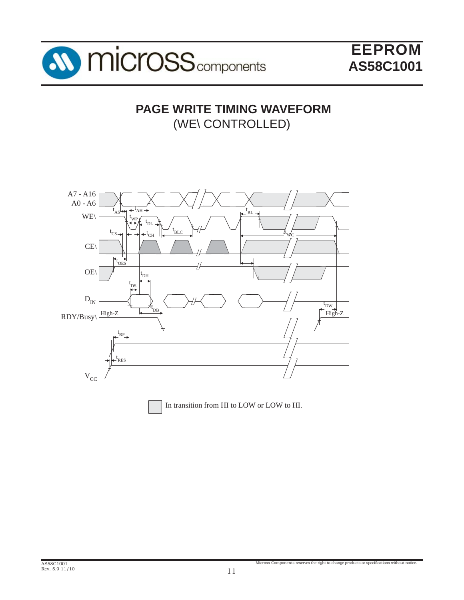

## **PAGE WRITE TIMING WAVEFORM** (WE\ CONTROLLED)

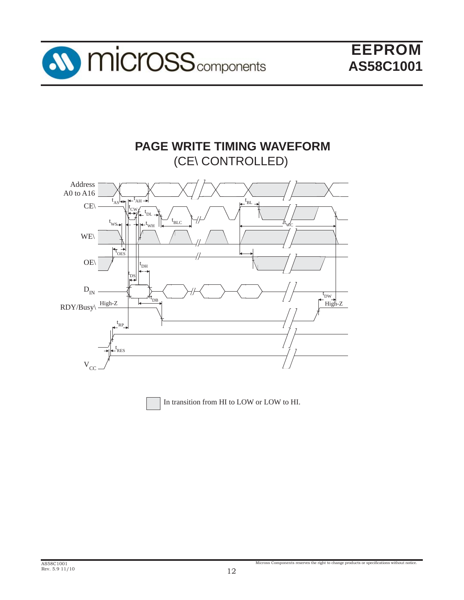

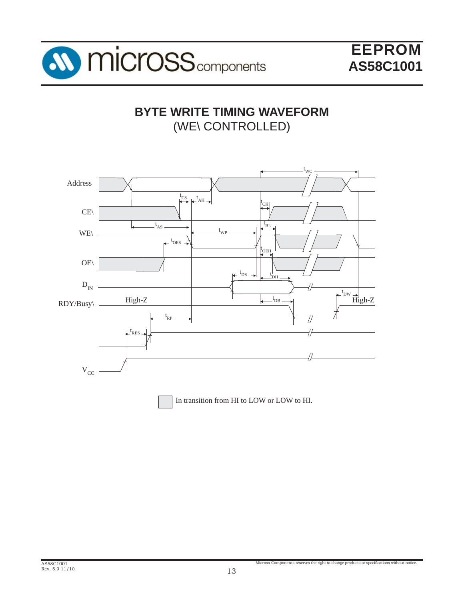

# **BYTE WRITE TIMING WAVEFORM** (WE\ CONTROLLED)

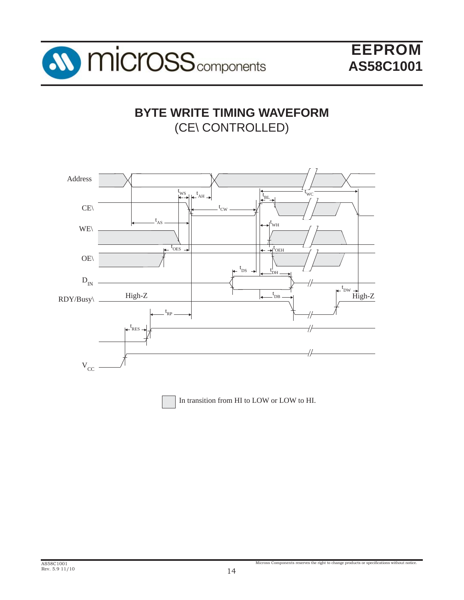

## **BYTE WRITE TIMING WAVEFORM** (CE\ CONTROLLED)

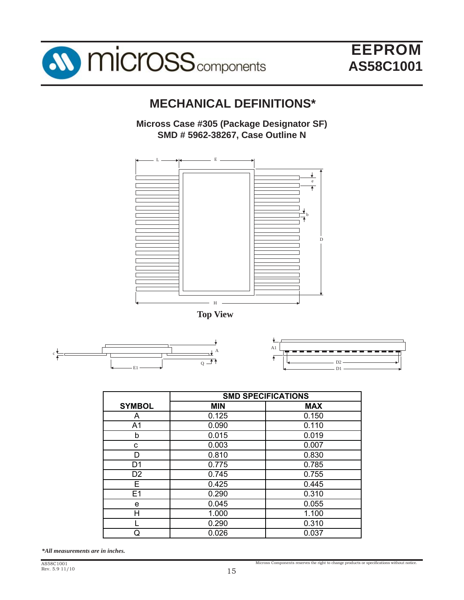

## **MECHANICAL DEFINITIONS\***

**Micross Case #305 (Package Designator SF) SMD # 5962-38267, Case Outline N**









|                | <b>SMD SPECIFICATIONS</b> |            |  |  |
|----------------|---------------------------|------------|--|--|
| <b>SYMBOL</b>  | <b>MIN</b>                | <b>MAX</b> |  |  |
| A              | 0.125                     | 0.150      |  |  |
| A <sub>1</sub> | 0.090                     | 0.110      |  |  |
| b              | 0.015                     | 0.019      |  |  |
| C              | 0.003                     | 0.007      |  |  |
| D              | 0.810                     | 0.830      |  |  |
| D1             | 0.775                     | 0.785      |  |  |
| D <sub>2</sub> | 0.745                     | 0.755      |  |  |
| F.             | 0.425                     | 0.445      |  |  |
| E1             | 0.290                     | 0.310      |  |  |
| е              | 0.045                     | 0.055      |  |  |
| н              | 1.000                     | 1.100      |  |  |
|                | 0.290                     | 0.310      |  |  |
| ړ              | 0.026                     | 0.037      |  |  |

*\*All measurements are in inches.*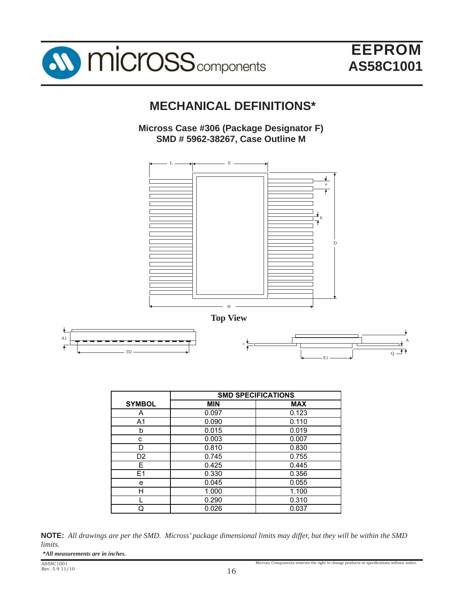

## **MECHANICAL DEFINITIONS\***

### **Micross Case #306 (Package Designator F) SMD # 5962-38267, Case Outline M**



|                | <b>SMD SPECIFICATIONS</b> |            |  |
|----------------|---------------------------|------------|--|
| <b>SYMBOL</b>  | <b>MIN</b>                | <b>MAX</b> |  |
| A              | 0.097                     | 0.123      |  |
| A1             | 0.090                     | 0.110      |  |
| b              | 0.015                     | 0.019      |  |
| с              | 0.003                     | 0.007      |  |
| D              | 0.810                     | 0.830      |  |
| D <sub>2</sub> | 0.745                     | 0.755      |  |
| Е              | 0.425                     | 0.445      |  |
| E1             | 0.330                     | 0.356      |  |
| е              | 0.045                     | 0.055      |  |
| н              | 1.000                     | 1.100      |  |
|                | 0.290                     | 0.310      |  |
| С              | 0.026                     | 0.037      |  |



| *All measurements are in inches. |  |  |
|----------------------------------|--|--|
|----------------------------------|--|--|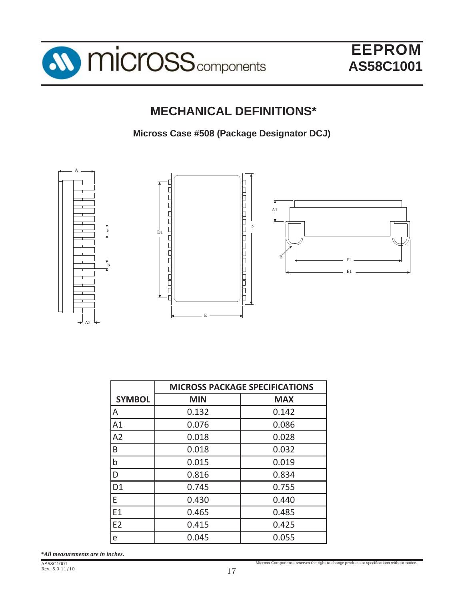



# **MECHANICAL DEFINITIONS\***

**Micross Case #508 (Package Designator DCJ)**



|                | <b>MICROSS PACKAGE SPECIFICATIONS</b> |            |  |  |
|----------------|---------------------------------------|------------|--|--|
| <b>SYMBOL</b>  | <b>MIN</b>                            | <b>MAX</b> |  |  |
| ΙA             | 0.132                                 | 0.142      |  |  |
| A1             | 0.076                                 | 0.086      |  |  |
| A2             | 0.018                                 | 0.028      |  |  |
| B              | 0.018                                 | 0.032      |  |  |
| $\mathsf b$    | 0.015                                 | 0.019      |  |  |
| ID             | 0.816                                 | 0.834      |  |  |
| D <sub>1</sub> | 0.745                                 | 0.755      |  |  |
| E              | 0.430                                 | 0.440      |  |  |
| E1             | 0.465                                 | 0.485      |  |  |
| E <sub>2</sub> | 0.415                                 | 0.425      |  |  |
| e              | 0.045                                 | 0.055      |  |  |

*\*All measurements are in inches.*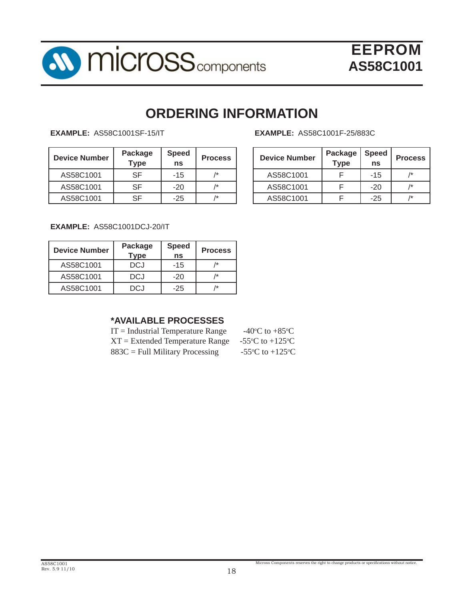

# **ORDERING INFORMATION**

**EXAMPLE:** AS58C1001SF-15/IT

| <b>Device Number</b> | Package<br>$\tau$ ype | <b>Speed</b><br>ns | <b>Process</b> | <b>Device Number</b> | Package<br>Type | <b>Speed</b><br>ns | <b>Proc</b>     |
|----------------------|-----------------------|--------------------|----------------|----------------------|-----------------|--------------------|-----------------|
| AS58C1001            | SF                    | $-15$              | /*             | AS58C1001            |                 | $-15$              | $\overline{1}$  |
| AS58C1001            | SF                    | $-20$              | /*             | AS58C1001            |                 | $-20$              | $\overline{1}$  |
| AS58C1001            | SF                    | $-25$              | /*             | AS58C1001            |                 | $-25$              | $\overline{1*}$ |

#### **EXAMPLE:** AS58C1001F-25/883C

| <b>Process</b> | <b>Device Number</b> | <b>Package</b><br><b>Type</b> | <b>Speed</b><br>ns | <b>Process</b> |
|----------------|----------------------|-------------------------------|--------------------|----------------|
| 1*             | AS58C1001            |                               | $-15$              | /*             |
| 1*             | AS58C1001            |                               | $-20$              |                |
| $1+$           | AS58C1001            |                               | -25                | /*             |

**EXAMPLE:** AS58C1001DCJ-20/IT

| <b>Device Number</b> | Package<br>Type | <b>Speed</b><br>ns | <b>Process</b> |
|----------------------|-----------------|--------------------|----------------|
| AS58C1001            | DCJ             | $-15$              | /*             |
| AS58C1001            | <b>DCJ</b>      | $-20$              | 1*             |
| AS58C1001            | DC.I            | $-25$              | /*             |

### **\*AVAILABLE PROCESSES**

 $IT = Industrial Temperature Range$  $XT = Extended Temperature Range -55°C$  to +125 °C  $883C =$  Full Military Processing

C to  $+85^{\circ}$ C C to  $+125$ <sup>o</sup>C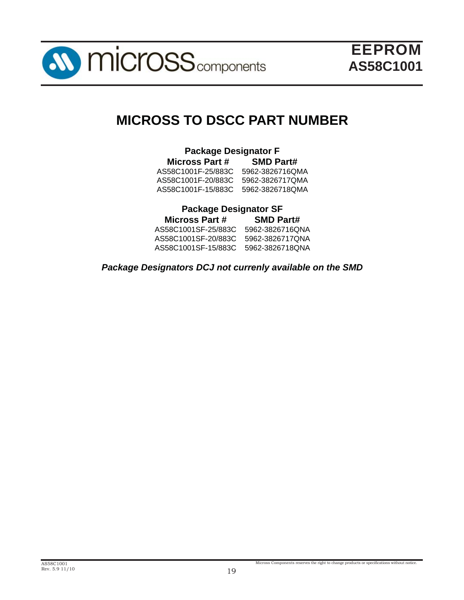

# **MICROSS TO DSCC PART NUMBER**

### **Package Designator F Micross Part # SMD Part#** AS58C1001F-25/883C 5962-3826716QMA AS58C1001F-20/883C 5962-3826717QMA AS58C1001F-15/883C 5962-3826718QMA

### **Package Designator SF**

| <b>SMD Part#</b>                    |
|-------------------------------------|
| 5962-3826716QNA                     |
| 5962-3826717QNA                     |
| AS58C1001SF-15/883C 5962-3826718ONA |
|                                     |

### *Package Designators DCJ not currenly available on the SMD*